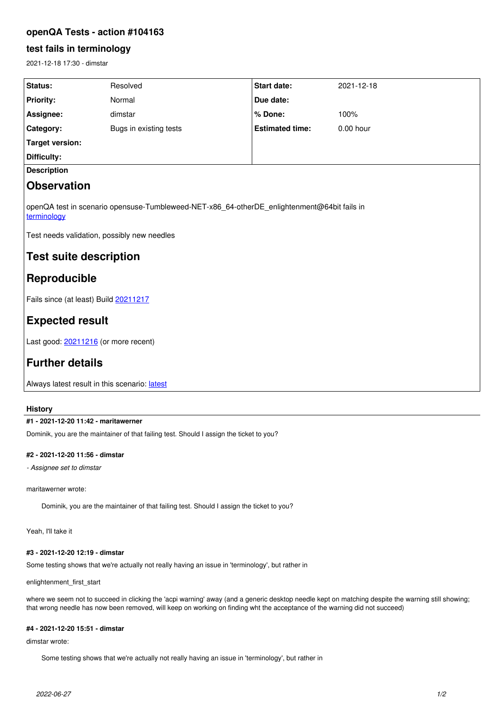# **openQA Tests - action #104163**

# **test fails in terminology**

2021-12-18 17:30 - dimstar

| Status:                                                                                                    | Resolved               | Start date:            | 2021-12-18 |
|------------------------------------------------------------------------------------------------------------|------------------------|------------------------|------------|
|                                                                                                            |                        |                        |            |
| <b>Priority:</b>                                                                                           | Normal                 | Due date:              |            |
| Assignee:                                                                                                  | dimstar                | % Done:                | 100%       |
| Category:                                                                                                  | Bugs in existing tests | <b>Estimated time:</b> | 0.00 hour  |
| <b>Target version:</b>                                                                                     |                        |                        |            |
| Difficulty:                                                                                                |                        |                        |            |
| <b>Description</b>                                                                                         |                        |                        |            |
| <b>Observation</b>                                                                                         |                        |                        |            |
| openQA test in scenario opensuse-Tumbleweed-NET-x86_64-otherDE_enlightenment@64bit fails in<br>terminology |                        |                        |            |
| Test needs validation, possibly new needles                                                                |                        |                        |            |
| <b>Test suite description</b>                                                                              |                        |                        |            |
| Reproducible                                                                                               |                        |                        |            |
| Fails since (at least) Build 20211217                                                                      |                        |                        |            |
| <b>Expected result</b>                                                                                     |                        |                        |            |
| Last good: 20211216 (or more recent)                                                                       |                        |                        |            |
| <b>Further details</b>                                                                                     |                        |                        |            |
| Always latest result in this scenario: latest                                                              |                        |                        |            |

### **History**

# **#1 - 2021-12-20 11:42 - maritawerner**

Dominik, you are the maintainer of that failing test. Should I assign the ticket to you?

### **#2 - 2021-12-20 11:56 - dimstar**

*- Assignee set to dimstar*

maritawerner wrote:

Dominik, you are the maintainer of that failing test. Should I assign the ticket to you?

Yeah, I'll take it

#### **#3 - 2021-12-20 12:19 - dimstar**

Some testing shows that we're actually not really having an issue in 'terminology', but rather in

enlightenment\_first\_start

where we seem not to succeed in clicking the 'acpi warning' away (and a generic desktop needle kept on matching despite the warning still showing; that wrong needle has now been removed, will keep on working on finding wht the acceptance of the warning did not succeed)

## **#4 - 2021-12-20 15:51 - dimstar**

dimstar wrote:

Some testing shows that we're actually not really having an issue in 'terminology', but rather in